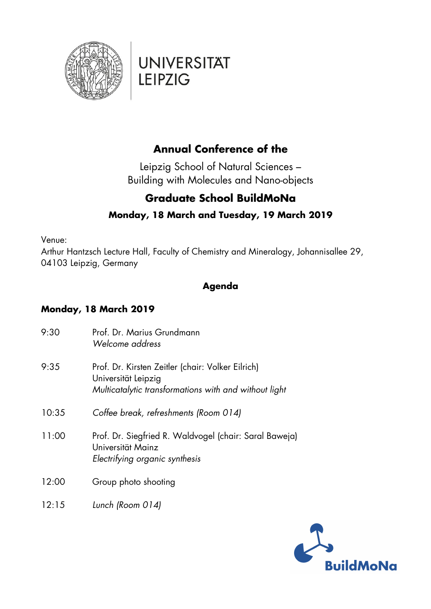

### **Annual Conference of the**

Leipzig School of Natural Sciences – Building with Molecules and Nano-objects

### **Graduate School BuildMoNa**

### **Monday, 18 March and Tuesday, 19 March 2019**

Venue:

Arthur Hantzsch Lecture Hall, Faculty of Chemistry and Mineralogy, Johannisallee 29, 04103 Leipzig, Germany

#### **Agenda**

### **Monday, 18 March 2019**

| 9:30  | Prof. Dr. Marius Grundmann<br>Welcome address                                                                                     |
|-------|-----------------------------------------------------------------------------------------------------------------------------------|
| 9:35  | Prof. Dr. Kirsten Zeitler (chair: Volker Eilrich)<br>Universität Leipzig<br>Multicatalytic transformations with and without light |
| 10:35 | Coffee break, refreshments (Room 014)                                                                                             |
| 11:00 | Prof. Dr. Siegfried R. Waldvogel (chair: Saral Baweja)<br>Universität Mainz<br>Electrifying organic synthesis                     |
| 12:00 | Group photo shooting                                                                                                              |
| 12:15 | Lunch (Room 014)                                                                                                                  |

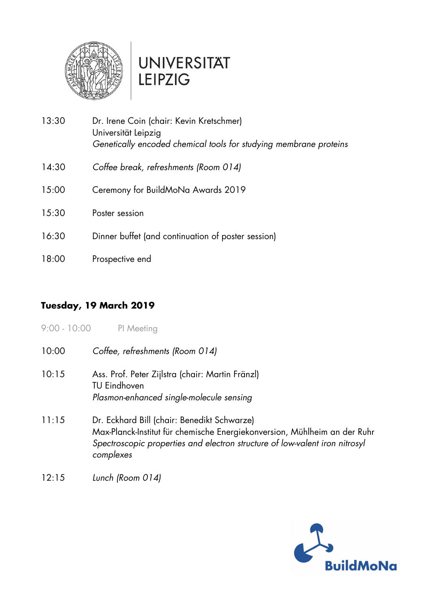

| 13:30 | Dr. Irene Coin (chair: Kevin Kretschmer)<br>Universität Leipzig<br>Genetically encoded chemical tools for studying membrane proteins |
|-------|--------------------------------------------------------------------------------------------------------------------------------------|
| 14:30 | Coffee break, refreshments (Room 014)                                                                                                |
| 15:00 | Ceremony for BuildMoNa Awards 2019                                                                                                   |
| 15:30 | Poster session                                                                                                                       |
| 16:30 | Dinner buffet (and continuation of poster session)                                                                                   |
| 18:00 | Prospective end                                                                                                                      |

### **Tuesday, 19 March 2019**

9:00 - 10:00 PI Meeting

- 10:00 *Coffee, refreshments (Room 014)*
- 10:15 Ass. Prof. Peter Zijlstra (chair: Martin Fränzl) TU Eindhoven *Plasmon-enhanced single-molecule sensing*
- 11:15 Dr. Eckhard Bill (chair: Benedikt Schwarze) Max-Planck-Institut für chemische Energiekonversion, Mühlheim an der Ruhr *Spectroscopic properties and electron structure of low-valent iron nitrosyl complexes*
- 12:15 *Lunch (Room 014)*

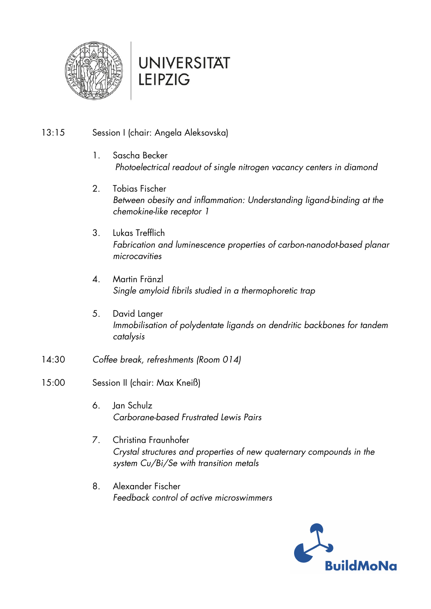

#### 13:15 Session I (chair: Angela Aleksovska)

- 1. Sascha Becker  *Photoelectrical readout of single nitrogen vacancy centers in diamond*
- 2. Tobias Fischer *Between obesity and inflammation: Understanding ligand-binding at the chemokine-like receptor 1*
- 3. Lukas Trefflich *Fabrication and luminescence properties of carbon-nanodot-based planar microcavities*
- 4. Martin Fränzl *Single amyloid fibrils studied in a thermophoretic trap*
- 5. David Langer *Immobilisation of polydentate ligands on dendritic backbones for tandem catalysis*
- 14:30 *Coffee break, refreshments (Room 014)*
- 15:00 Session II (chair: Max Kneiß)
	- 6. Jan Schulz *Carborane-based Frustrated Lewis Pairs*
	- 7. Christina Fraunhofer *Crystal structures and properties of new quaternary compounds in the system Cu/Bi/Se with transition metals*
	- 8. Alexander Fischer *Feedback control of active microswimmers*